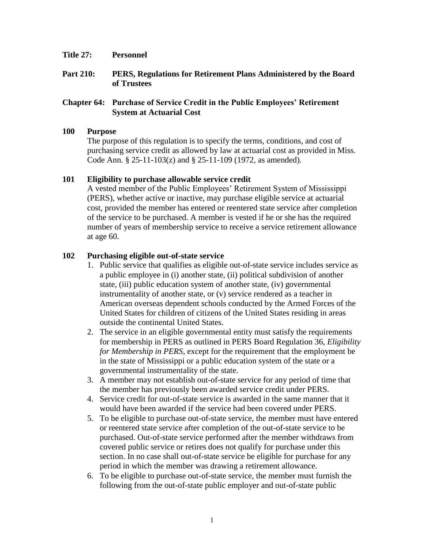- **Title 27: Personnel**
- **Part 210: PERS, Regulations for Retirement Plans Administered by the Board of Trustees**

### **Chapter 64: Purchase of Service Credit in the Public Employees' Retirement System at Actuarial Cost**

#### **100 Purpose**

The purpose of this regulation is to specify the terms, conditions, and cost of purchasing service credit as allowed by law at actuarial cost as provided in Miss. Code Ann. § 25-11-103(z) and § 25-11-109 (1972, as amended).

#### **101 Eligibility to purchase allowable service credit**

A vested member of the Public Employees' Retirement System of Mississippi (PERS), whether active or inactive, may purchase eligible service at actuarial cost, provided the member has entered or reentered state service after completion of the service to be purchased. A member is vested if he or she has the required number of years of membership service to receive a service retirement allowance at age 60.

# **102 Purchasing eligible out-of-state service**

- 1. Public service that qualifies as eligible out-of-state service includes service as a public employee in (i) another state, (ii) political subdivision of another state, (iii) public education system of another state, (iv) governmental instrumentality of another state, or (v) service rendered as a teacher in American overseas dependent schools conducted by the Armed Forces of the United States for children of citizens of the United States residing in areas outside the continental United States.
- 2. The service in an eligible governmental entity must satisfy the requirements for membership in PERS as outlined in PERS Board Regulation 36, *Eligibility for Membership in PERS*, except for the requirement that the employment be in the state of Mississippi or a public education system of the state or a governmental instrumentality of the state.
- 3. A member may not establish out-of-state service for any period of time that the member has previously been awarded service credit under PERS.
- 4. Service credit for out-of-state service is awarded in the same manner that it would have been awarded if the service had been covered under PERS.
- 5. To be eligible to purchase out-of-state service, the member must have entered or reentered state service after completion of the out-of-state service to be purchased. Out-of-state service performed after the member withdraws from covered public service or retires does not qualify for purchase under this section. In no case shall out-of-state service be eligible for purchase for any period in which the member was drawing a retirement allowance.
- 6. To be eligible to purchase out-of-state service, the member must furnish the following from the out-of-state public employer and out-of-state public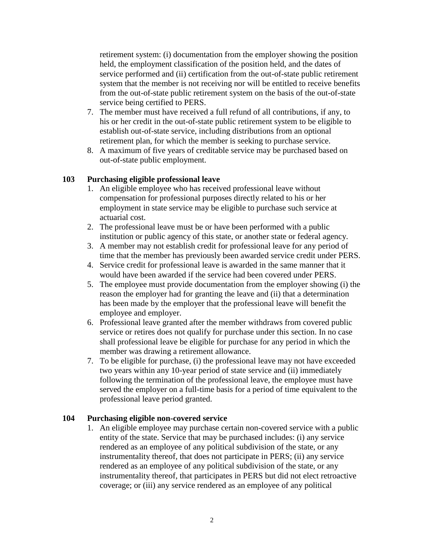retirement system: (i) documentation from the employer showing the position held, the employment classification of the position held, and the dates of service performed and (ii) certification from the out-of-state public retirement system that the member is not receiving nor will be entitled to receive benefits from the out-of-state public retirement system on the basis of the out-of-state service being certified to PERS.

- 7. The member must have received a full refund of all contributions, if any, to his or her credit in the out-of-state public retirement system to be eligible to establish out-of-state service, including distributions from an optional retirement plan, for which the member is seeking to purchase service.
- 8. A maximum of five years of creditable service may be purchased based on out-of-state public employment.

# **103 Purchasing eligible professional leave**

- 1. An eligible employee who has received professional leave without compensation for professional purposes directly related to his or her employment in state service may be eligible to purchase such service at actuarial cost.
- 2. The professional leave must be or have been performed with a public institution or public agency of this state, or another state or federal agency.
- 3. A member may not establish credit for professional leave for any period of time that the member has previously been awarded service credit under PERS.
- 4. Service credit for professional leave is awarded in the same manner that it would have been awarded if the service had been covered under PERS.
- 5. The employee must provide documentation from the employer showing (i) the reason the employer had for granting the leave and (ii) that a determination has been made by the employer that the professional leave will benefit the employee and employer.
- 6. Professional leave granted after the member withdraws from covered public service or retires does not qualify for purchase under this section. In no case shall professional leave be eligible for purchase for any period in which the member was drawing a retirement allowance.
- 7. To be eligible for purchase, (i) the professional leave may not have exceeded two years within any 10-year period of state service and (ii) immediately following the termination of the professional leave, the employee must have served the employer on a full-time basis for a period of time equivalent to the professional leave period granted.

# **104 Purchasing eligible non-covered service**

1. An eligible employee may purchase certain non-covered service with a public entity of the state. Service that may be purchased includes: (i) any service rendered as an employee of any political subdivision of the state, or any instrumentality thereof, that does not participate in PERS; (ii) any service rendered as an employee of any political subdivision of the state, or any instrumentality thereof, that participates in PERS but did not elect retroactive coverage; or (iii) any service rendered as an employee of any political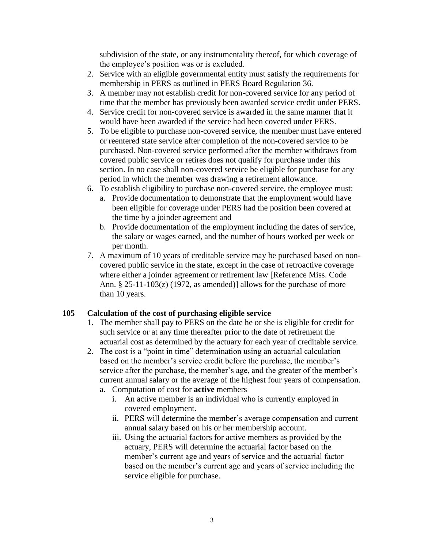subdivision of the state, or any instrumentality thereof, for which coverage of the employee's position was or is excluded.

- 2. Service with an eligible governmental entity must satisfy the requirements for membership in PERS as outlined in PERS Board Regulation 36.
- 3. A member may not establish credit for non-covered service for any period of time that the member has previously been awarded service credit under PERS.
- 4. Service credit for non-covered service is awarded in the same manner that it would have been awarded if the service had been covered under PERS.
- 5. To be eligible to purchase non-covered service, the member must have entered or reentered state service after completion of the non-covered service to be purchased. Non-covered service performed after the member withdraws from covered public service or retires does not qualify for purchase under this section. In no case shall non-covered service be eligible for purchase for any period in which the member was drawing a retirement allowance.
- 6. To establish eligibility to purchase non-covered service, the employee must:
	- a. Provide documentation to demonstrate that the employment would have been eligible for coverage under PERS had the position been covered at the time by a joinder agreement and
	- b. Provide documentation of the employment including the dates of service, the salary or wages earned, and the number of hours worked per week or per month.
- 7. A maximum of 10 years of creditable service may be purchased based on noncovered public service in the state, except in the case of retroactive coverage where either a joinder agreement or retirement law [Reference Miss. Code Ann.  $\S 25-11-103(z)$  (1972, as amended)] allows for the purchase of more than 10 years.

# **105 Calculation of the cost of purchasing eligible service**

- 1. The member shall pay to PERS on the date he or she is eligible for credit for such service or at any time thereafter prior to the date of retirement the actuarial cost as determined by the actuary for each year of creditable service.
- 2. The cost is a "point in time" determination using an actuarial calculation based on the member's service credit before the purchase, the member's service after the purchase, the member's age, and the greater of the member's current annual salary or the average of the highest four years of compensation.
	- a. Computation of cost for **active** members
		- i. An active member is an individual who is currently employed in covered employment.
		- ii. PERS will determine the member's average compensation and current annual salary based on his or her membership account.
		- iii. Using the actuarial factors for active members as provided by the actuary, PERS will determine the actuarial factor based on the member's current age and years of service and the actuarial factor based on the member's current age and years of service including the service eligible for purchase.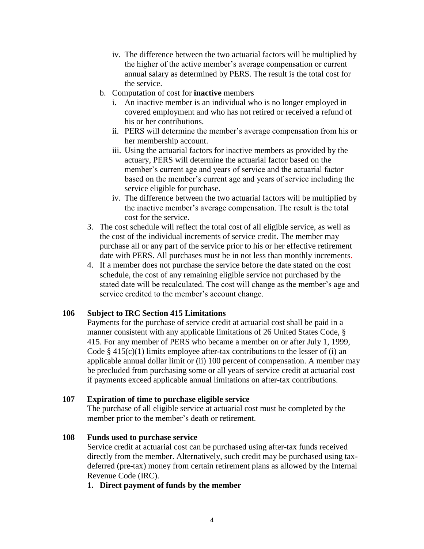- iv. The difference between the two actuarial factors will be multiplied by the higher of the active member's average compensation or current annual salary as determined by PERS. The result is the total cost for the service.
- b. Computation of cost for **inactive** members
	- i. An inactive member is an individual who is no longer employed in covered employment and who has not retired or received a refund of his or her contributions.
	- ii. PERS will determine the member's average compensation from his or her membership account.
	- iii. Using the actuarial factors for inactive members as provided by the actuary, PERS will determine the actuarial factor based on the member's current age and years of service and the actuarial factor based on the member's current age and years of service including the service eligible for purchase.
	- iv. The difference between the two actuarial factors will be multiplied by the inactive member's average compensation. The result is the total cost for the service.
- 3. The cost schedule will reflect the total cost of all eligible service, as well as the cost of the individual increments of service credit. The member may purchase all or any part of the service prior to his or her effective retirement date with PERS. All purchases must be in not less than monthly increments.
- 4. If a member does not purchase the service before the date stated on the cost schedule, the cost of any remaining eligible service not purchased by the stated date will be recalculated. The cost will change as the member's age and service credited to the member's account change.

# **106 Subject to IRC Section 415 Limitations**

Payments for the purchase of service credit at actuarial cost shall be paid in a manner consistent with any applicable limitations of 26 United States Code, § 415. For any member of PERS who became a member on or after July 1, 1999, Code  $\S$  415(c)(1) limits employee after-tax contributions to the lesser of (i) an applicable annual dollar limit or (ii) 100 percent of compensation. A member may be precluded from purchasing some or all years of service credit at actuarial cost if payments exceed applicable annual limitations on after-tax contributions.

#### **107 Expiration of time to purchase eligible service**

The purchase of all eligible service at actuarial cost must be completed by the member prior to the member's death or retirement.

#### **108 Funds used to purchase service**

Service credit at actuarial cost can be purchased using after-tax funds received directly from the member. Alternatively, such credit may be purchased using taxdeferred (pre-tax) money from certain retirement plans as allowed by the Internal Revenue Code (IRC).

#### **1. Direct payment of funds by the member**